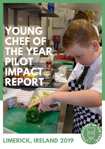# **YOUNG CHEF OF THE YEAR PILOT IMPACT REPORT**

### **LIMERICK, IRELAND 2019**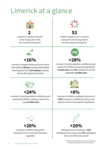# Limerick at a glance



**2** schools in Limerick took part in the Young Chef of the Year Awards during 2019



**53** children (aged 10-12) in Limerick took part in the Young Chef of the Year Awards during 2019



**+16%**

increase in hygiene awareness post-award with children **always** washing hands before touching food and **+12% always** washing hands after going to the toilet



increase in food preparation confidence postaward with children measuring ingredients **on their own** and **+8%** cutting up fruit and vegetables **on their own**



### **+24%**

increase in food preparation confidence postaward with children making a salad and a soup **on their own**



**+8%** increase in children cooking at home and a **+16%** increase in confidence to buy or ask

parents/carers to buy specific ingredients



### **+20%**

increase in children asking their parents/carers to cook their favourite vegetable



willingness to try tomatoes, **+16%** willingness to try celery and **+8%** willingness to try cucumber post-award

> This data was collected by the class teacher using a pre and post questionnaire with 25 children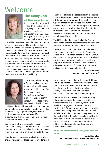### Welcome



### **The Young Chef of the Year Award**

focuses on celebrating food education in the classroom and giving children hands-on practical experience alongside the message that what you eat is closely linked to your health and wellbeing.

Every child deserves to learn the basics about food, where it comes from and how it affects their bodies. When children are young we teach them how to use a knife and fork and we develop their manual dexterity. When they start school we teach them how to use scissors and write with a pen but what this award has highlighted is that many children at age 10 don't know how to cut an apple, cucumber or onion, or combine ingredients or recipes to create a healthy meal. These are basic life skills that need to become integral in our children's education and development to support their long-term health and wellbeing.

The burden of chronic disease is rapidly increasing worldwide and almost half of chronic disease death attributed to cardiovascular disease, obesity and type 2 diabetes can be reversed with nutrition and diet (1). With this in mind the Young Chef of the Year Award is extremely relevant and has the potential to impact on our children's emotional and behavioural development, school absenteeism, cognition and future health.

The 2019 pilot of the Young Chef of the Year in Ireland highlights the benefits of this award and the potential value of national roll out across Ireland.

Please read this report, talk about it and make it your personal mission to see that the Young Chef Award reaches your local school. We have a unique opportunity to change behaviours around food and nutrition and improve our children's health and long-term potential. Your involvement will make a difference to the lives of children in your schools and communities, so don't miss out!

**Katharine Tate The Food Teacher™ (Director)**



teachers involved has been The primary school setting offers an ideal environment for educating children with regard to healthy eating. We have been delivering the Young Chef of the Year in primary schools in the UK since 2017. Feedback from

positive and the children that have completed the award not only loved the challenge but amazed us with their newly acquired skills, healthy food choices, planning, preparation and food presentation. This year alone, we anticipate over 4,000 children will take part.

Born in Limerick and a graduate of Mary Immaculate College, I now live and work in the UK. I have taught in both Ireland and the UK. I still have family in Limerick and am a regular visitor home.

Over the years, I have seen food culture in Ireland change with increased food choices on offer and a

prevalence to eating out or ordering food at home. I have also noticed the health implications of poor food choices and the increase in childhood obesity. Just like many things in life, the principles of healthy eating must be taught. Seeing an opportunity, I initiated the 2019 Limerick pilot.

The Young Chef of the Year award is an exciting educational resource that can make a difference where it matters. It is designed by teachers for teachers. It engages children with food and nutrition (SPHE), supporting them to make healthy choices and develop their own chef skills. It links with home and the community. It aligns with both the Healthy Eating Guidelines as set out by Healthy Ireland and it promotes actions in The Limerick Local Economic and Community Plan when addressing education, skills and learning and health and wellbeing.

**We do well to remember the adage 'we are what we eat'.**

> **Marie Reynolds The Food Teacher™ Education Consultant**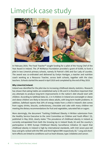### Limerick case study



In February 2019, The Food Teacher™ sought funding for a pilot of the Young Chef of the Year Award in Ireland. The JP McManus Foundation provided a grant of €1000, to fund a pilot in two Limerick primary schools, namely St Patrick's GNS and Our Lady of Lourdes. The award was co-ordinated and delivered by Evelyn Hartigan, a teacher and nutrition coach working as a Resource Teacher, across both schools, together with the class teachers. Schools started the award in April 2019 and completed by the end of May 2019.

#### **Why Limerick/Ireland:**

Ireland was identified for the pilot due to increasing childhood obesity statistics. Research has shown that eating habits are established early in life and it is therefore important that any attempts to produce long-term improvements in the nation's diet should start with children. According to Safefood data (2), 1 in 4 children in Ireland are overweight or obese and obese children are likely to become obese adults, with long-term health problems. In addition, Safefood reports that 20% of energy intake from a child in Ireland's diet comes from sugary drinks, biscuits, confectionary, chocolate and cake with many children not meeting the dietary recommendations for fruit and vegetables, saturated fats or sugars.

More alarmingly, the document 'Tackling Childhood Obesity: A Written submission from the Healthy Service Executive to the Joint Committee on Children and Youth Affairs' (3), published in May 2018, clearly states "The prevalence of childhood obesity in Ireland as currently extrapolated from both the Growing Up in Ireland Study (4) and the country's participation in WHO Europe Childhood Obesity Surveillance Initiative (5) report that childhood obesity in Ireland is high by international standards, with Irish seven-year-old boys and girls ranked with the fifth and third highest BMI respectively (6)." Long and shortterm effects are linked to conditions such as heart disease, type 2 diabetes and cancer.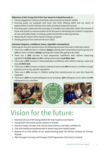#### **Objectives of the Young Chef of the Year Award in Ireland focused on:**

- School engagement (raising school food culture and link to food for health)
- Ensuring pupils are equipped with basic chef skills (lifelong skills) and are aware of opportunities to further develop their skills and talents (potential careers)
- Ensuring pupils understand the principles of a healthy and varied diet (within the context of home and school) to improve quality of life (focused on developing the children's enjoyment of new and healthy foods, increasing uptake and therefore reducing obesity)
- Measuring the impact of the awards (changes, progress)
- Sharing good practice (national roll out in 2020)

#### **Outcomes (hygiene, confidence, home, vegetable consumption):**

Following pre and post questionnaires the following outcomes have been noted post award:

- There was a **16%** increase in children **always** washing their hands before touching food and **12%** increase in children **always** washing their hands after going to the toilet.
- There was a **28%** increase in food preparation confidence with children measuring ingredients **on their own** and **8%** cutting up fruit and veg **on their own.**
- There was a **24%** increase in food preparation confidence with children making a salad and soup **on their own**.
- There was an **8%** increase in children cooking at home and **16%** increase in confidence to get parents/carers to buy specific ingredients.
- There was a **20%** increase in children asking their parents/carers to cook their favourite vegetable.
- There was a **20%** increased willingness to try tomatoes, **16%** willingness to try celery and **8%** willingness to try cucumber.



# Vision for the future:

- National roll out of the Young Chef of the Year Award across Ireland
- Young Chef Final events across clusters of schools
- Measure impact of wider Irish roll out (food choices, chef skills, confidence)
- Link with Healthcare professionals to assess long-term health impact
- Release of an Irish edition of our award-winning book 'No Kitchen Cookery for Primary Schools'
- Pilot Youngest (nursery) and Younger Chef Programmes (2nd class) in Ireland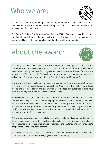### Who we are:



The Food Teacher™ is a group of qualified primary school teachers, a registered nutritional therapist and a health coach who work closely with schools, families and individuals to educate about food and nutrition.

The Young Chef of the Year Award was first piloted in 2017 in Fleetwood, Lancashire, UK and was initially funded by the National Health Service who recognised the impact such an award could have on the long-term health and wellbeing of the community.

### About the award:



The Young Chef of the Year Award is for 4th, 5th and/or 6th classes (ages 10-12). It covers the 'Social, Personal and Health Education' (SPHE) Curriculum. Children learn chef skills, seasonality, cooking methods, food hygiene and safety, where food comes from and the importance of food for health. The teaching also incorporates other curriculum areas such as Language, Social and Environmental and Scientific Education, Maths and Art.

The award is a 6-week challenge that requires 2 hours of teaching and practical time each week and focuses on pupils designing and creating a 'Meal for their Hero'. The meal includes a soup, main course, dessert and drink within a €10 budget. The outcomes to date have been outstanding and pupils readily rise to the challenge.

When schools sign up, teachers are equipped with all the resources required for delivery of the award including access to a web-based programme which includes teaching videos with Michelin Star Chef Aidan McGrath, a scheme of work, lesson plans and letters to parents. Schools also receive printed pupil journals for pupils to record their progress and pupil certificates. The website also contains a link to 'Cook at Home' with recipes pupils can access to engage their parents/carers.

As the award has evolved many schools have adapted the plans and content for their pupils. Some schools connect with their local secondary schools for the final cooking challenge, whilst other schools choose small groups to complete the challenge and some may opt to ask pupils to do their final cook at home.

In some areas of the UK, clusters of schools have completed the awards and have held grand finals across areas, which has also engaged the wider community.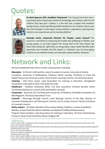# uotes:



**Dr Mark Spencer (GP), Healthier Fleetwood-**"The Young Chef of the Year is essentially about improving nutritional knowledge and cookery skills for the children that take part. Cookery is a life skill and, coupled with healthier eating choices, will bring lifelong health benefits for our children. Much more than that though it's also about raising children's aspirations, opening their minds to new experiences and to new possibilities."



**Amanda Lewis, Corporate Director for People, Luton Council-**"The council is committed to improving the health and wellbeing of children and young people, so we fully support the Young Chef of the Year Award. We know that eating the right food can bring about major health benefits both physically and mentally and this award is a fantastic way of encouraging children to eat healthier foods and ultimately adopt healthier lifestyles."

# Network and Links:

We have established links with a number of key partners including:

**Education** – St Patrick's GNS and Our Lady of Lourdes in Limerick, University of Central Lancashire, University of Bedfordshire, Professor Martin Carraher (Professor of Food and Health Policy) City University London, Herts Grid for Learning, Food for Life (Soil Association) **Catering** – Chef Harry Lomas, Lead Association for Catering in Education, Springboard FutureChef, Craft Guild of Chefs, Chef Aidan Mc Grath

**Healthcare** – Healthier Fleetwood (NHS), CCG East Lancashire, Christine Gurnett, Senior Community Dietician in Limerick (HSE and Healthy Limerick)

**Corporates** – DairyLink Ltd, The Restaurant Group Ltd, JP McManus Charitable Foundation, Go Wild Magazine, The Savoy Educational Trust

**Councils** – Stevenage Borough Council, Luton Borough Council, Dr Pat Daly, Director of Economic Development and Planning for Limerick City & County Councils, Patricia O'Sullivan of Innovate Limerick

**Policy makers** - Tim Baker (Member of the London Obesity Taskforce, London Food Board Member, School Food Plan Alliance Member and National Childhood Measurement

Program Panel member), Lead Association for Catering in Education, All Party Parliamentary Group on School Food chaired by Sharon Hodgson MP

6. Heinen, M., 2014. The Childhood Obesity Surveillance Initiative (COSI) in the Republic of Ireland: Findings from 2008, 2010 and 2012. Health, 1, p.03.

References:

<sup>1.</sup> Who.int. (2019). WHO | 2. Background. [online] Available at: https://www.who.int/nutrition/topics/2\_background/en/ [Accessed 23 Sep. 2019]. 2. Anon, (2019). [ebook] Available at:

https://www.safefood.eu/SafeFood/media/SafeFoodLibrary/Documents/Publications/Corporate%20Publications/EducatingForHealthShapingOurFut ure.pdf [Accessed 23 Sep. 2019].

<sup>3.</sup> Anon, (2019). [ebook] Available at:

https://www.safefood.eu/SafeFood/media/SafeFoodLibrary/Documents/Publications/Corporate%20Publications/EducatingForHealthShapingOurFut ure.pdf [Accessed 23 Sep. 2019].

<sup>4.</sup> Anon, (2019). [ebook] Available at: https://www.esri.ie/system/files?file=media/file-uploads/2016-06/BKMNEXT211\_ES.pdf [Accessed 23 Sep. 2019].

<sup>5.</sup> Anon, (2019). [ebook] Available at: http://www.euro.who.int/\_\_data/assets/pdf\_file/0010/378865/COSI-3.pdf?ua=1 [Accessed 23 Sep. 2019].